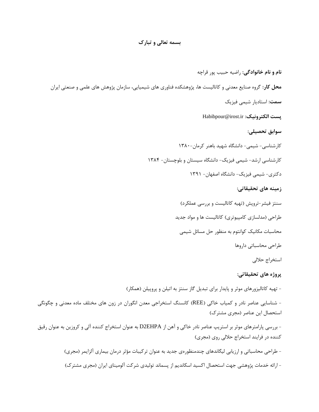## **بسمه تعالی و تبارک**

**نام و نام خانوادگی:** راضیه حبیب پور قراچه **محل کار:** گروه صنایع معدنی و کاتالیست ها، پژوهشکده فناوری های شیمیایی، سازمان پژوهش های علمی و صنعتی ایران **سمت:** استادیار شیمی فیزیک Habibpour@irost.ir **:الکترونیک پست سوابق تحصیلی:**  کارشناسی- شیمی- دانشگاه شهید باهنر کرمان-۱۳۸۰ کارشناسی ارشد- شیمی فیزیک- دانشگاه سیستان و بلوچستان- 3101 دکتری- شیمی فیزیک- دانشگاه اصفهان- 3133 **زمینه های تحقیقاتی:** سنتز فیشر-تروپش (تهیه کاتالیست و بررسی عملکرد) طراحی (مدلسازی کامپیوتری) کاتالیست ها و مواد جدید محاسبات مکانیک کوانتوم به منظور حل مسائل شیمی طراحی محاسباتی داروها استخراج حاللی **پروژه های تحقیقاتی:** - تهیه کاتالیزورهای موثر و پایدار برای تبدیل گاز سنتز به اتیلن و پروپیلن )همکار( - شناسایی عناصر نادر و کمیاب خاکی )REE )کانسنگ استخراجی معدن انگوران در زون های مختلف ماده معدنی و چگونگی استحصال این عناصر (مجری مشترک) - بررسی پارامترهای موثر بر استریپ عناصر نادر خاکی و آهن از EHPA2D به عنوان استخراج کننده آلی و کروزین به عنوان رقیق کننده در فرایند استخراج حاللی روی )مجری( - طراحی محاسباتی و ارزیابی لیگاندهای چندمنظورهی جدید به عنوان ترکیبات مؤثر درمان بیماری آلزایمر )مجری(

- ارائه خدمات پژوهشی جهت استحصال اکسید اسکاندیم از پسماند تولیدی شرکت آلومینای ایران )مجری مشترک(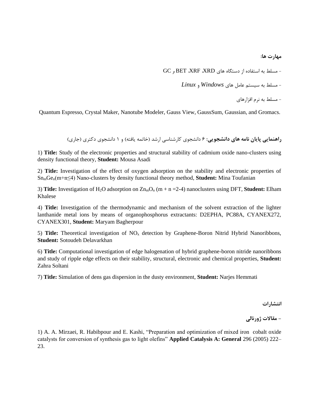**مهارت ها:**

GC و BET  $X$ RF، XRD و GC

- مسلط به سیستم عامل های *Windows* و *Linux*

- مسلط به نرم افزارهای

Quantum Espresso, Crystal Maker, Nanotube Modeler, Gauss View, GaussSum, Gaussian, and Gromacs.

**راهنمایی پایان نامه های دانشجویی:** 6 دانشجوی کارشناسی ارشد )خاتمه یافته( و 3 دانشجوی دکتری )جاری(

1) **Title:** Study of the electronic properties and structural stability of cadmium oxide nano-clusters using density functional theory, **Student:** Mousa Asadi

2) **Title:** Investigation of the effect of oxygen adsorption on the stability and electronic properties of SnmGen(m+n≤4) Nano-clusters by density functional theory method, **Student:** Mina Toufanian

3) **Title:** Investigation of H2O adsorption on ZnmO<sup>n</sup> (m + n =2-4) nanoclusters using DFT, **Student:** Elham Khalese

4) **Title:** Investigation of the thermodynamic and mechanism of the solvent extraction of the lighter lanthanide metal ions by means of organophosphorus extractants: D2EPHA, PC88A, CYANEX272, CYANEX301, **Student:** Maryam Bagherpour

5) **Title:** Theoretical investigation of NO<sup>x</sup> detection by Graphene-Boron Nitrid Hybrid Nanoribbons, **Student:** Sotoudeh Delavarkhan

6) **Title:** Computational investigation of edge halogenation of hybrid graphene-boron nitride nanoribbons and study of ripple edge effects on their stability, structural, electronic and chemical properties, **Student:** Zahra Soltani

7) **Title:** Simulation of dens gas dispersion in the dusty environment, **Student:** Narjes Hemmati

**انتشارات**

**- مقاالت ژورنالی**

1) A. A. Mirzaei, R. Habibpour and E. Kashi, "Preparation and optimization of mixed iron cobalt oxide catalysts for conversion of synthesis gas to light olefins" **Applied Catalysis A: General** 296 (2005) 222– 23.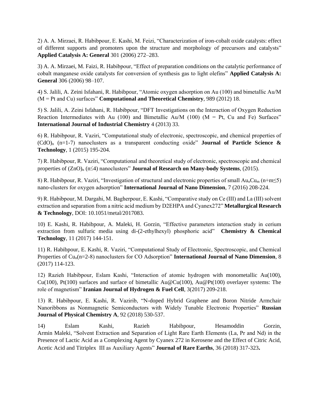2) A. A. Mirzaei, R. Habibpour, E. Kashi, M. Feizi, "Characterization of iron-cobalt oxide catalysts: effect of different supports and promoters upon the structure and morphology of precursors and catalysts" **Applied Catalysis A: General** 301 (2006) 272–283.

3) A. A. Mirzaei, M. Faizi, R. Habibpour, "Effect of preparation conditions on the catalytic performance of cobalt manganese oxide catalysts for conversion of synthesis gas to light olefins" **Applied Catalysis A: General** 306 (2006) 98–107.

4) S. Jalili, A. Zeini Isfahani, R. Habibpour, "Atomic oxygen adsorption on Au (100) and bimetallic Au/M (M = Pt and Cu) surfaces" **Computational and Theoretical Chemistry**, 989 (2012) 18.

5) S. Jalili, A. Zeini Isfahani, R. Habibpour, "DFT Investigations on the Interaction of Oxygen Reduction Reaction Intermediates with Au (100) and Bimetallic Au/M (100) ( $M = Pt$ , Cu and Fe) Surfaces" **International Journal of Industrial Chemistry** 4 (2013) 33.

6) R. Habibpour, R. Vaziri, "Computational study of electronic, spectroscopic, and chemical properties of (CdO)<sup>n</sup> (n=1-7) nanoclusters as a transparent conducting oxide" **Journal of Particle Science & Technology**, 1 (2015) 195-204.

7) R. Habibpour, R. Vaziri, "Computational and theoretical study of electronic, spectroscopic and chemical properties of  $(ZnO)<sub>n</sub>$  (n≤4) nanoclusters" **Journal of Research on Many-body Systems**, (2015).

8) R. Habibpour, R. Vaziri, "Investigation of structural and electronic properties of small  $Au_nCu_m$  (n+m≤5) nano-clusters for oxygen adsorption" **International Journal of Nano Dimension**, 7 (2016) 208-224.

9) R. Habibpour, M. Dargahi, M. Bagherpour, E. Kashi, "Comparative study on Ce (III) and La (III) solvent extraction and separation from a nitric acid medium by D2EHPA and Cyanex272" **Metallurgical Research & Technology**, DOI: 10.1051/metal/2017083.

10) E. Kashi, R. Habibpour, A. Maleki, H. Gorzin, "Effective parameters interaction study in cerium extraction from sulfuric media using di-(2-ethylhexyl) phosphoric acid" **Chemistry & Chemical Technology**, 11 (2017) 144-151.

11) R. Habibpour, E. Kashi, R. Vaziri, "Computational Study of Electronic, Spectroscopic, and Chemical Properties of Cu<sub>n</sub>(n=2-8) nanoclusters for CO Adsorption" **International Journal of Nano Dimension**, 8 (2017) 114-123.

12) Razieh Habibpour, Eslam Kashi, "Interaction of atomic hydrogen with monometallic Au(100), Cu(100), Pt(100) surfaces and surface of bimetallic Au@Cu(100), Au@Pt(100) overlayer systems: The role of magnetism" **Iranian Journal of Hydrogen & Fuel Cell**, 3(2017) 209-218.

13) R. Habibpour, E. Kashi, R. Vazirib, "N-doped Hybrid Graphene and Boron Nitride Armchair Nanoribbons as Nonmagnetic Semiconductors with Widely Tunable Electronic Properties" **Russian Journal of Physical Chemistry A**, 92 (2018) 530-537.

14) Eslam Kashi, Razieh Habibpour, Hesamoddin Gorzin, Armin Maleki, "Solvent Extraction and Separation of Light Rare Earth Elements (La, Pr and Nd) in the Presence of Lactic Acid as a Complexing Agent by Cyanex 272 in Kerosene and the Effect of Citric Acid, Acetic Acid and Titriplex III as Auxiliary Agents" **Journal of Rare Earths**, 36 (2018) 317-323**.**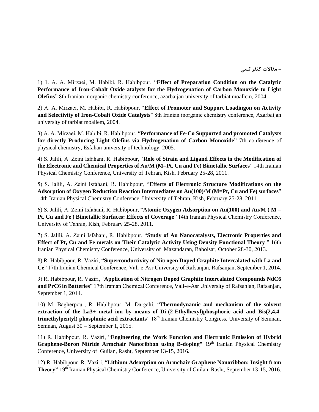**- مقاالت کنفرانسی**

1) 1. A. A. Mirzaei, M. Habibi, R. Habibpour, "**Effect of Preparation Condition on the Catalytic Performance of Iron-Cobalt Oxide atalysts for the Hydrogenation of Carbon Monoxide to Light Olefins**" 8th Iranian inorganic chemistry conference, azarbaijan university of tarbiat moallem, 2004.

2) A. A. Mirzaei, M. Habibi, R. Habibpour, "**Effect of Promoter and Support Loadingon on Activity and Selectivity of Iron-Cobalt Oxide Catalysts**" 8th Iranian inorganic chemistry conference, Azarbaijan university of tarbiat moallem, 2004.

3) A. A. Mirzaei, M. Habibi, R. Habibpour, "**Performance of Fe-Co Supported and promoted Catalysts for directly Producing Light Olefins via Hydrogenation of Carbon Monoxide**" 7th conference of physical chemistry, Esfahan university of technology, 2005.

4) S. Jalili, A. Zeini Isfahani, R. Habibpour, "**Role of Strain and Ligand Effects in the Modification of the Electronic and Chemical Properties of Au/M (M=Pt, Cu and Fe) Bimetallic Surfaces**" 14th Iranian Physical Chemistry Conference, University of Tehran, Kish, February 25-28, 2011.

5) S. Jalili, A. Zeini Isfahani, R. Habibpour, "**Effects of Electronic Structure Modifications on the Adsorption of Oxygen Reduction Reaction Intermediates on Au(100)/M (M=Pt, Cu and Fe) surfaces**" 14th Iranian Physical Chemistry Conference, University of Tehran, Kish, February 25-28, 2011.

6) S. Jalili, A. Zeini Isfahani, R. Habibpour, "**Atomic Oxygen Adsorption on Au(100) and Au/M ( M = Pt, Cu and Fe ) Bimetallic Surfaces: Effects of Coverage**" 14th Iranian Physical Chemistry Conference, University of Tehran, Kish, February 25-28, 2011.

7) S. Jalili, A. Zeini Isfahani, R. Habibpour, "**Study of Au Nanocatalysts, Electronic Properties and Effect of Pt, Cu and Fe metals on Their Catalytic Activity Using Density Functional Theory** " 16th Iranian Physical Chemistry Conference, University of Mazandaran, Babolsar, October 28-30, 2013.

8) R. Habibpour, R. Vaziri, "**Superconductivity of Nitrogen Doped Graphite Intercalated with La and Ce**" 17th Iranian Chemical Conference, Vali-e-Asr University of Rafsanjan, Rafsanjan, September 1, 2014.

9) R. Habibpour, R. Vaziri, "**Application of Nitrogen Doped Graphite Intercalated Compounds NdC6 and PrC6 in Batteries**" 17th Iranian Chemical Conference, Vali-e-Asr University of Rafsanjan, Rafsanjan, September 1, 2014.

10) M. Bagherpour, R. Habibpour, M. Dargahi, "**Thermodynamic and mechanism of the solvent extraction of the La3+ metal ion by means of Di-(2-Ethylhexyl)phosphoric acid and Bis(2,4,4 trimethylpentyl) phosphinic acid extractants**" 18<sup>th</sup> Iranian Chemistry Congress, University of Semnan, Semnan, August 30 – September 1, 2015.

11) R. Habibpour, R. Vaziri, "**Engineering the Work Function and Electronic Emission of Hybrid Graphene-Boron Nitride Armchair Nanoribbon using B-doping"** 19<sup>th</sup> Iranian Physical Chemistry Conference, University of Guilan, Rasht, September 13-15, 2016.

12) R. Habibpour, R. Vaziri, "**Lithium Adsorption on Armchair Graphene Nanoribbon: Insight from**  Theory" 19<sup>th</sup> Iranian Physical Chemistry Conference, University of Guilan, Rasht, September 13-15, 2016.